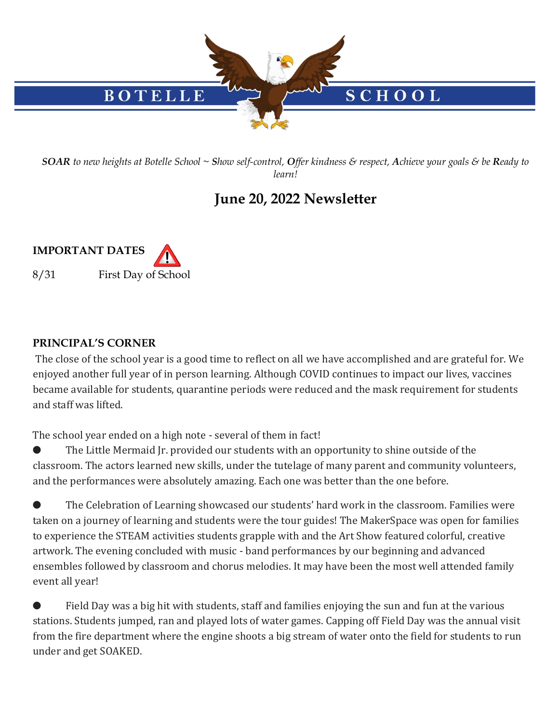

*SOAR to new heights at Botelle School ~ Show self-control, Offer kindness & respect, Achieve your goals & be Ready to learn!*

## **June 20, 2022 Newsletter**



## **PRINCIPAL'S CORNER**

The close of the school year is a good time to reflect on all we have accomplished and are grateful for. We enjoyed another full year of in person learning. Although COVID continues to impact our lives, vaccines became available for students, quarantine periods were reduced and the mask requirement for students and staff was lifted.

The school year ended on a high note - several of them in fact!

The Little Mermaid Jr. provided our students with an opportunity to shine outside of the classroom. The actors learned new skills, under the tutelage of many parent and community volunteers, and the performances were absolutely amazing. Each one was better than the one before.

The Celebration of Learning showcased our students' hard work in the classroom. Families were taken on a journey of learning and students were the tour guides! The MakerSpace was open for families to experience the STEAM activities students grapple with and the Art Show featured colorful, creative artwork. The evening concluded with music - band performances by our beginning and advanced ensembles followed by classroom and chorus melodies. It may have been the most well attended family event all year!

Field Day was a big hit with students, staff and families enjoying the sun and fun at the various stations. Students jumped, ran and played lots of water games. Capping off Field Day was the annual visit from the fire department where the engine shoots a big stream of water onto the field for students to run under and get SOAKED.